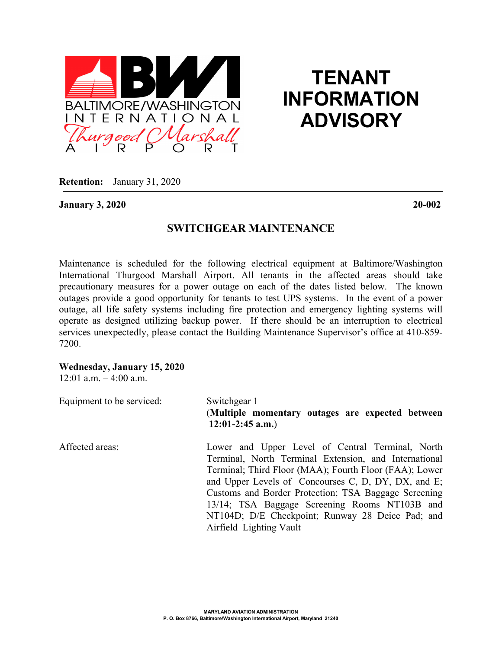

## **TENANT INFORMATION ADVISORY**

**Retention:** January 31, 2020

**January 3, 2020 20-002**

## **SWITCHGEAR MAINTENANCE**

Maintenance is scheduled for the following electrical equipment at Baltimore/Washington International Thurgood Marshall Airport. All tenants in the affected areas should take precautionary measures for a power outage on each of the dates listed below. The known outages provide a good opportunity for tenants to test UPS systems. In the event of a power outage, all life safety systems including fire protection and emergency lighting systems will operate as designed utilizing backup power. If there should be an interruption to electrical services unexpectedly, please contact the Building Maintenance Supervisor's office at 410-859- 7200.

## **Wednesday, January 15, 2020**

 $12:01$  a.m.  $-4:00$  a.m.

| Equipment to be serviced: | Switchgear 1<br>(Multiple momentary outages are expected between<br>$12:01-2:45$ a.m.) |
|---------------------------|----------------------------------------------------------------------------------------|
| Affected areas:           | Lower and Upper Level of Central Terminal, North                                       |
|                           | Terminal, North Terminal Extension, and International                                  |
|                           | Terminal; Third Floor (MAA); Fourth Floor (FAA); Lower                                 |
|                           | and Upper Levels of Concourses C, D, DY, DX, and E;                                    |
|                           | Customs and Border Protection; TSA Baggage Screening                                   |
|                           | 13/14; TSA Baggage Screening Rooms NT103B and                                          |
|                           | NT104D; D/E Checkpoint; Runway 28 Deice Pad; and                                       |
|                           | Airfield Lighting Vault                                                                |